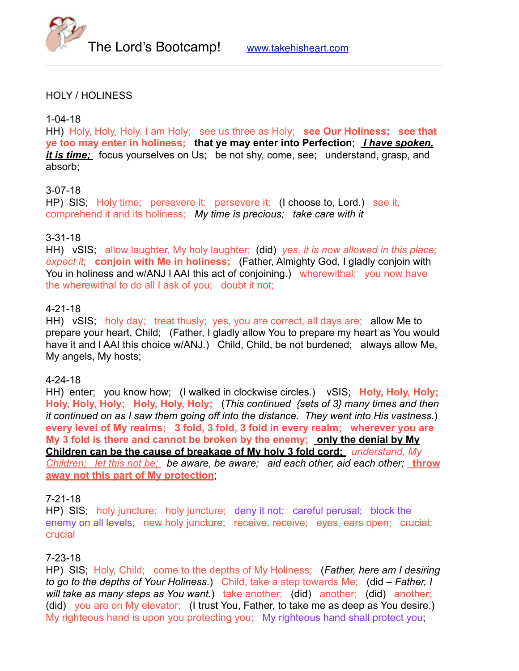



### HOLY / HOLINESS

#### 1-04-18

HH) Holy, Holy, Holy, I am Holy; see us three as Holy; **see Our Holiness; see that ye too may enter in holiness; that ye may enter into Perfection**; *I have spoken, it is time;* focus yourselves on Us; be not shy, come, see; understand, grasp, and absorb;

#### 3-07-18

HP) SIS; Holy time; persevere it; persevere it; (I choose to, Lord.) see it, comprehend it and its holiness; *My time is precious; take care with it*

## 3-31-18

HH) vSIS; allow laughter, My holy laughter; (did) *yes, it is now allowed in this place; expect it;* **conjoin with Me in holiness;** (Father, Almighty God, I gladly conjoin with You in holiness and w/ANJ I AAI this act of conjoining.) wherewithal; you now have the wherewithal to do all I ask of you; doubt it not;

#### 4-21-18

HH) vSIS; holy day; treat thusly; yes, you are correct, all days are; allow Me to prepare your heart, Child; (Father, I gladly allow You to prepare my heart as You would have it and I AAI this choice w/ANJ.) Child, Child, be not burdened; always allow Me, My angels, My hosts;

#### 4-24-18

HH) enter; you know how; (I walked in clockwise circles.) vSIS; **Holy, Holy, Holy; Holy, Holy, Holy; Holy, Holy, Holy;** (*This continued {sets of 3} many times and then it continued on as I saw them going off into the distance. They went into His vastness.*) **every level of My realms; 3 fold, 3 fold, 3 fold in every realm; wherever you are My 3 fold is there and cannot be broken by the enemy; only the denial by My Children can be the cause of breakage of My holy 3 fold cord;** *understand, My Children; let this not be; be aware, be aware; aid each other, aid each other;* **throw away not this part of My protection**;

#### 7-21-18

HP) SIS; holy juncture; holy juncture; deny it not; careful perusal; block the enemy on all levels; new holy juncture; receive, receive; eyes, ears open; crucial; crucial

#### 7-23-18

HP) SIS; Holy, Child; come to the depths of My Holiness; (*Father, here am I desiring to go to the depths of Your Holiness*.) Child, take a step towards Me; (did – *Father, I will take as many steps as You want.*) take another; (did) another; (did) another; (did) you are on My elevator; (I trust You, Father, to take me as deep as You desire.) My righteous hand is upon you protecting you; My righteous hand shall protect you;